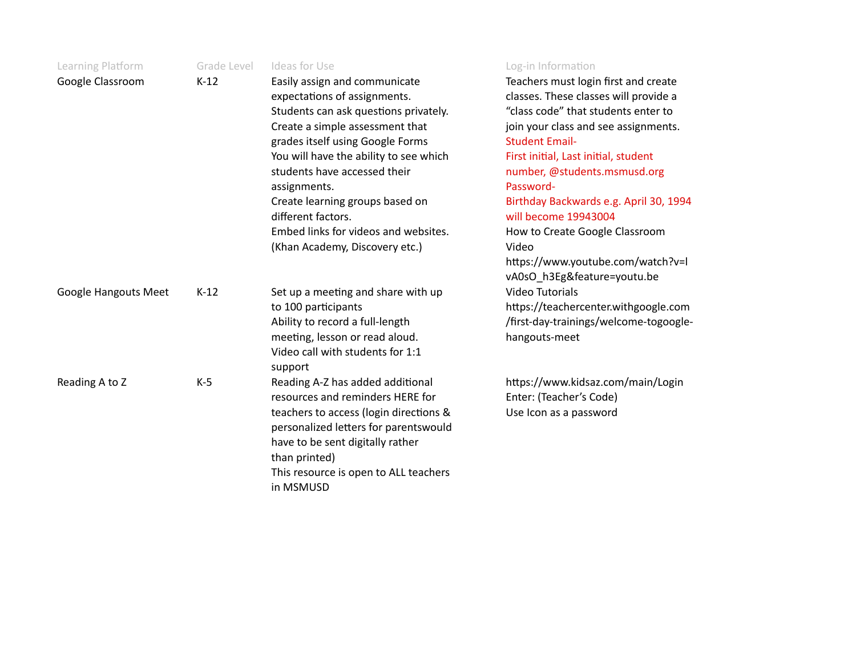| Learning Platform    | Grade Level | Ideas for Use                                                                                                                                                                                                                                                           | Log-in Information                                                                                                                                                                                                                                                         |
|----------------------|-------------|-------------------------------------------------------------------------------------------------------------------------------------------------------------------------------------------------------------------------------------------------------------------------|----------------------------------------------------------------------------------------------------------------------------------------------------------------------------------------------------------------------------------------------------------------------------|
| Google Classroom     | $K-12$      | Easily assign and communicate<br>expectations of assignments.<br>Students can ask questions privately.<br>Create a simple assessment that<br>grades itself using Google Forms<br>You will have the ability to see which<br>students have accessed their<br>assignments. | Teachers must login first and create<br>classes. These classes will provide a<br>"class code" that students enter to<br>join your class and see assignments.<br><b>Student Email-</b><br>First initial, Last initial, student<br>number, @students.msmusd.org<br>Password- |
|                      |             | Create learning groups based on<br>different factors.                                                                                                                                                                                                                   | Birthday Backwards e.g. April 30, 1994<br>will become 19943004                                                                                                                                                                                                             |
|                      |             | Embed links for videos and websites.<br>(Khan Academy, Discovery etc.)                                                                                                                                                                                                  | How to Create Google Classroom<br>Video<br>https://www.youtube.com/watch?v=I<br>vA0sO_h3Eg&feature=youtu.be                                                                                                                                                                |
| Google Hangouts Meet | $K-12$      | Set up a meeting and share with up<br>to 100 participants<br>Ability to record a full-length<br>meeting, lesson or read aloud.<br>Video call with students for 1:1<br>support                                                                                           | <b>Video Tutorials</b><br>https://teachercenter.withgoogle.com<br>/first-day-trainings/welcome-togoogle-<br>hangouts-meet                                                                                                                                                  |
| Reading A to Z       | $K-5$       | Reading A-Z has added additional<br>resources and reminders HERE for<br>teachers to access (login directions &<br>personalized letters for parentswould<br>have to be sent digitally rather<br>than printed)<br>This resource is open to ALL teachers<br>in MSMUSD      | https://www.kidsaz.com/main/Login<br>Enter: (Teacher's Code)<br>Use Icon as a password                                                                                                                                                                                     |